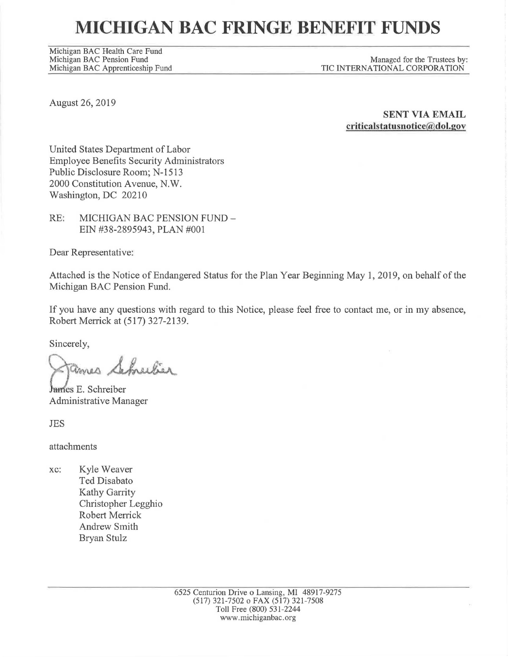# **MICHIGAN BAC FRINGE BENEFIT FUNDS**

Michigan BAC Health Care Fund Michigan BAC Pension Fund<br>Michigan BAC Apprenticeship Fund

Managed for the Trustees by: TIC INTERNATIONAL CORPORATION

August 26, 2019

**SENT VIA EMAIL criticaJstatusnotice(@dol.gov** 

United States Department of Labor Employee Benefits Security Administrators Public Disclosure Room; N-1513 2000 Constitution Avenue, N.W. Washington, DC 20210

RE: MICHIGAN BAC PENSION FUND - EIN #38-2895943, PLAN #001

Dear Representative:

Attached is the Notice of Endangered Status for the Plan Year Beginning May 1, 2019, on behalf of the Michigan BAC Pension Fund.

If you have any questions with regard to this Notice, please feel free to contact me, or in my absence, Robert Merrick at (517) 327-2139.

Sincerely,

*Q~dY*  Schneiber

James E. Schreiber Administrative Manager

JES

attachments

xc: Kyle Weaver Ted Disabato Kathy Garrity Christopher Legghio Robert Merrick Andrew Smith Bryan Stulz